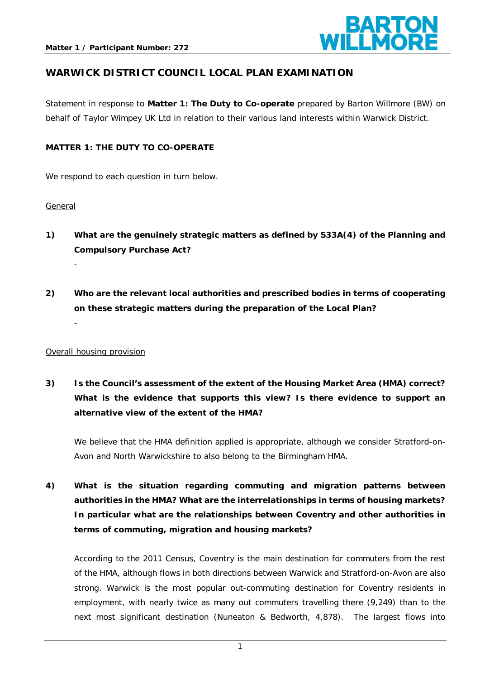

## **WARWICK DISTRICT COUNCIL LOCAL PLAN EXAMINATION**

Statement in response to **Matter 1: The Duty to Co-operate** prepared by Barton Willmore (BW) on behalf of Taylor Wimpey UK Ltd in relation to their various land interests within Warwick District.

### **MATTER 1: THE DUTY TO CO-OPERATE**

We respond to each question in turn below.

#### General

- **1) What are the genuinely strategic matters as defined by S33A(4) of the Planning and Compulsory Purchase Act?**  -
- **2) Who are the relevant local authorities and prescribed bodies in terms of cooperating on these strategic matters during the preparation of the Local Plan?**  -

#### Overall housing provision

**3) Is the Council's assessment of the extent of the Housing Market Area (HMA) correct? What is the evidence that supports this view? Is there evidence to support an alternative view of the extent of the HMA?** 

We believe that the HMA definition applied is appropriate, although we consider Stratford-on-Avon and North Warwickshire to also belong to the Birmingham HMA.

**4) What is the situation regarding commuting and migration patterns between authorities in the HMA? What are the interrelationships in terms of housing markets? In particular what are the relationships between Coventry and other authorities in terms of commuting, migration and housing markets?** 

According to the 2011 Census, Coventry is the main destination for commuters from the rest of the HMA, although flows in both directions between Warwick and Stratford-on-Avon are also strong. Warwick is the most popular out-commuting destination for Coventry residents in employment, with nearly twice as many out commuters travelling there (9,249) than to the next most significant destination (Nuneaton & Bedworth, 4,878). The largest flows into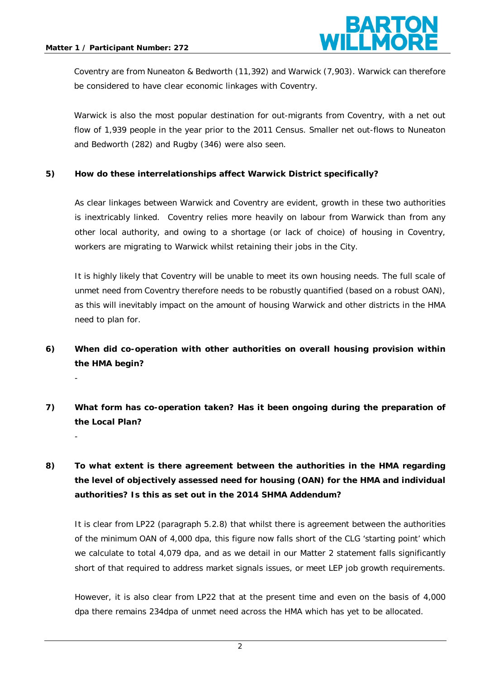-



Coventry are from Nuneaton & Bedworth (11,392) and Warwick (7,903). Warwick can therefore be considered to have clear economic linkages with Coventry.

Warwick is also the most popular destination for out-migrants from Coventry, with a net out flow of 1,939 people in the year prior to the 2011 Census. Smaller net out-flows to Nuneaton and Bedworth (282) and Rugby (346) were also seen.

### **5) How do these interrelationships affect Warwick District specifically?**

As clear linkages between Warwick and Coventry are evident, growth in these two authorities is inextricably linked. Coventry relies more heavily on labour from Warwick than from any other local authority, and owing to a shortage (or lack of choice) of housing in Coventry, workers are migrating to Warwick whilst retaining their jobs in the City.

It is highly likely that Coventry will be unable to meet its own housing needs. The full scale of unmet need from Coventry therefore needs to be robustly quantified (based on a robust OAN), as this will inevitably impact on the amount of housing Warwick and other districts in the HMA need to plan for.

# **6) When did co-operation with other authorities on overall housing provision within the HMA begin?**

**7) What form has co-operation taken? Has it been ongoing during the preparation of the Local Plan?** 

# **8) To what extent is there agreement between the authorities in the HMA regarding the level of objectively assessed need for housing (OAN) for the HMA and individual authorities? Is this as set out in the 2014 SHMA Addendum?**

It is clear from LP22 (paragraph 5.2.8) that whilst there is agreement between the authorities of the minimum OAN of 4,000 dpa, this figure now falls short of the CLG 'starting point' which we calculate to total 4,079 dpa, and as we detail in our Matter 2 statement falls significantly short of that required to address market signals issues, or meet LEP job growth requirements.

However, it is also clear from LP22 that at the present time and even on the basis of 4,000 dpa there remains 234dpa of unmet need across the HMA which has yet to be allocated.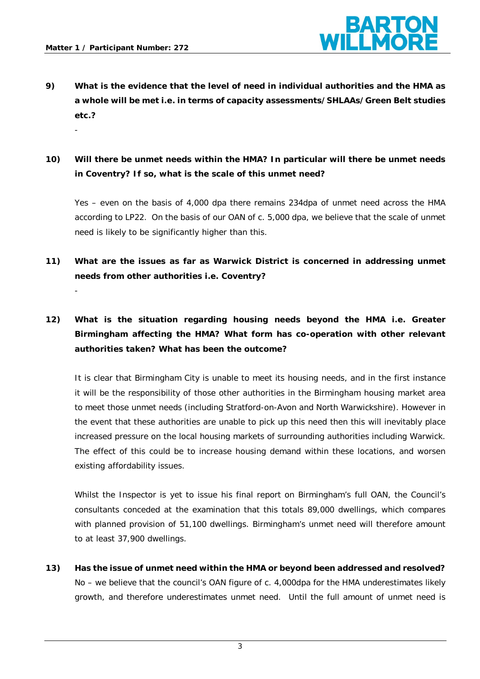-



- **9) What is the evidence that the level of need in individual authorities and the HMA as a whole will be met i.e. in terms of capacity assessments/SHLAAs/Green Belt studies etc.?**
- **10) Will there be unmet needs within the HMA? In particular will there be unmet needs in Coventry? If so, what is the scale of this unmet need?**

Yes – even on the basis of 4,000 dpa there remains 234dpa of unmet need across the HMA according to LP22. On the basis of our OAN of c. 5,000 dpa, we believe that the scale of unmet need is likely to be significantly higher than this.

- **11) What are the issues as far as Warwick District is concerned in addressing unmet needs from other authorities i.e. Coventry?**
- **12) What is the situation regarding housing needs beyond the HMA i.e. Greater Birmingham affecting the HMA? What form has co-operation with other relevant authorities taken? What has been the outcome?**

It is clear that Birmingham City is unable to meet its housing needs, and in the first instance it will be the responsibility of those other authorities in the Birmingham housing market area to meet those unmet needs (including Stratford-on-Avon and North Warwickshire). However in the event that these authorities are unable to pick up this need then this will inevitably place increased pressure on the local housing markets of surrounding authorities including Warwick. The effect of this could be to increase housing demand within these locations, and worsen existing affordability issues.

Whilst the Inspector is yet to issue his final report on Birmingham's full OAN, the Council's consultants conceded at the examination that this totals 89,000 dwellings, which compares with planned provision of 51,100 dwellings. Birmingham's unmet need will therefore amount to at least 37,900 dwellings.

**13) Has the issue of unmet need within the HMA or beyond been addressed and resolved?**  No – we believe that the council's OAN figure of c. 4,000dpa for the HMA underestimates likely growth, and therefore underestimates unmet need. Until the full amount of unmet need is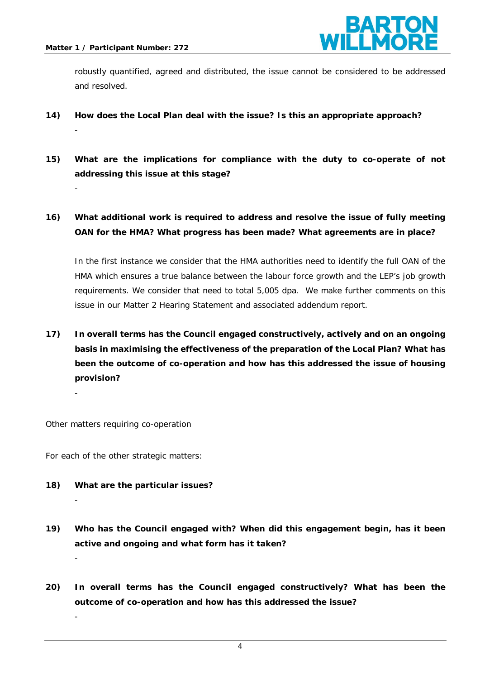-

-

-

-



robustly quantified, agreed and distributed, the issue cannot be considered to be addressed and resolved.

- **14) How does the Local Plan deal with the issue? Is this an appropriate approach?**  -
- **15) What are the implications for compliance with the duty to co-operate of not addressing this issue at this stage?**
- **16) What additional work is required to address and resolve the issue of fully meeting OAN for the HMA? What progress has been made? What agreements are in place?**

In the first instance we consider that the HMA authorities need to identify the full OAN of the HMA which ensures a true balance between the labour force growth and the LEP's job growth requirements. We consider that need to total 5,005 dpa. We make further comments on this issue in our Matter 2 Hearing Statement and associated addendum report.

**17) In overall terms has the Council engaged constructively, actively and on an ongoing basis in maximising the effectiveness of the preparation of the Local Plan? What has been the outcome of co-operation and how has this addressed the issue of housing provision?** 

Other matters requiring co-operation

For each of the other strategic matters:

- **18) What are the particular issues?**
- **19) Who has the Council engaged with? When did this engagement begin, has it been active and ongoing and what form has it taken?**
- **20) In overall terms has the Council engaged constructively? What has been the outcome of co-operation and how has this addressed the issue?**